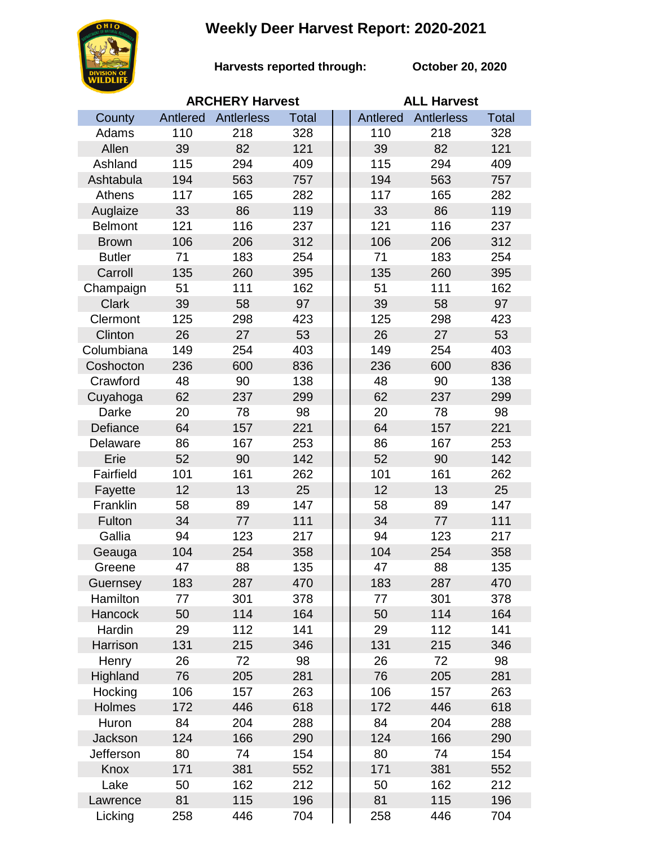## **Weekly Deer Harvest Report: 2020-2021**



**Harvests reported through: October 20, 2020**

|                | <b>ARCHERY Harvest</b> |            |              | <b>ALL Harvest</b> |                   |              |  |
|----------------|------------------------|------------|--------------|--------------------|-------------------|--------------|--|
| County         | Antlered               | Antlerless | <b>Total</b> | Antlered           | <b>Antlerless</b> | <b>Total</b> |  |
| Adams          | 110                    | 218        | 328          | 110                | 218               | 328          |  |
| Allen          | 39                     | 82         | 121          | 39                 | 82                | 121          |  |
| Ashland        | 115                    | 294        | 409          | 115                | 294               | 409          |  |
| Ashtabula      | 194                    | 563        | 757          | 194                | 563               | 757          |  |
| Athens         | 117                    | 165        | 282          | 117                | 165               | 282          |  |
| Auglaize       | 33                     | 86         | 119          | 33                 | 86                | 119          |  |
| <b>Belmont</b> | 121                    | 116        | 237          | 121                | 116               | 237          |  |
| <b>Brown</b>   | 106                    | 206        | 312          | 106                | 206               | 312          |  |
| <b>Butler</b>  | 71                     | 183        | 254          | 71                 | 183               | 254          |  |
| Carroll        | 135                    | 260        | 395          | 135                | 260               | 395          |  |
| Champaign      | 51                     | 111        | 162          | 51                 | 111               | 162          |  |
| <b>Clark</b>   | 39                     | 58         | 97           | 39                 | 58                | 97           |  |
| Clermont       | 125                    | 298        | 423          | 125                | 298               | 423          |  |
| Clinton        | 26                     | 27         | 53           | 26                 | 27                | 53           |  |
| Columbiana     | 149                    | 254        | 403          | 149                | 254               | 403          |  |
| Coshocton      | 236                    | 600        | 836          | 236                | 600               | 836          |  |
| Crawford       | 48                     | 90         | 138          | 48                 | 90                | 138          |  |
| Cuyahoga       | 62                     | 237        | 299          | 62                 | 237               | 299          |  |
| Darke          | 20                     | 78         | 98           | 20                 | 78                | 98           |  |
| Defiance       | 64                     | 157        | 221          | 64                 | 157               | 221          |  |
| Delaware       | 86                     | 167        | 253          | 86                 | 167               | 253          |  |
| Erie           | 52                     | 90         | 142          | 52                 | 90                | 142          |  |
| Fairfield      | 101                    | 161        | 262          | 101                | 161               | 262          |  |
| Fayette        | 12                     | 13         | 25           | 12                 | 13                | 25           |  |
| Franklin       | 58                     | 89         | 147          | 58                 | 89                | 147          |  |
| Fulton         | 34                     | 77         | 111          | 34                 | 77                | 111          |  |
| Gallia         | 94                     | 123        | 217          | 94                 | 123               | 217          |  |
| Geauga         | 104                    | 254        | 358          | 104                | 254               | 358          |  |
| Greene         | 47                     | 88         | 135          | 47                 | 88                | 135          |  |
| Guernsey       | 183                    | 287        | 470          | 183                | 287               | 470          |  |
| Hamilton       | 77                     | 301        | 378          | 77                 | 301               | 378          |  |
| Hancock        | 50                     | 114        | 164          | 50                 | 114               | 164          |  |
| Hardin         | 29                     | 112        | 141          | 29                 | 112               | 141          |  |
| Harrison       | 131                    | 215        | 346          | 131                | 215               | 346          |  |
| Henry          | 26                     | 72         | 98           | 26                 | 72                | 98           |  |
| Highland       | 76                     | 205        | 281          | 76                 | 205               | 281          |  |
| Hocking        | 106                    | 157        | 263          | 106                | 157               | 263          |  |
| Holmes         | 172                    | 446        | 618          | 172                | 446               | 618          |  |
| Huron          | 84                     | 204        | 288          | 84                 | 204               | 288          |  |
| Jackson        | 124                    | 166        | 290          | 124                | 166               | 290          |  |
| Jefferson      | 80                     | 74         | 154          | 80                 | 74                | 154          |  |
| Knox           | 171                    | 381        | 552          | 171                | 381               | 552          |  |
| Lake           | 50                     | 162        | 212          | 50                 | 162               | 212          |  |
| Lawrence       | 81                     | 115        | 196          | 81                 | 115               | 196          |  |
| Licking        | 258                    | 446        | 704          | 258                | 446               | 704          |  |